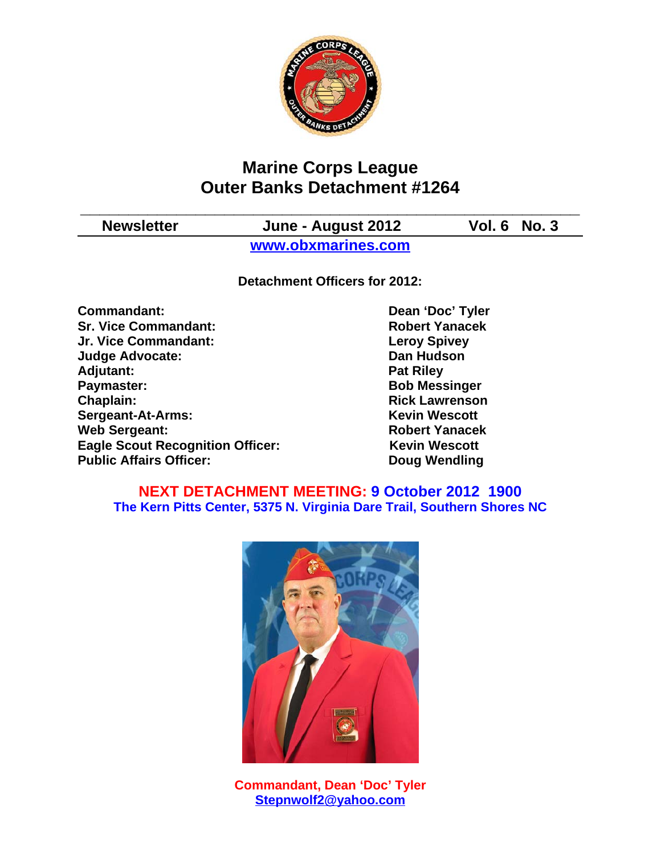

# **Marine Corps League Outer Banks Detachment #1264**

**\_\_\_\_\_\_\_\_\_\_\_\_\_\_\_\_\_\_\_\_\_\_\_\_\_\_\_\_\_\_\_\_\_\_\_\_\_\_\_\_\_\_\_\_\_\_\_\_\_\_\_\_**

**Newsletter June - August 2012 Vol. 6 No. 3**

**www.obxmarines.com**

**Detachment Officers for 2012:**

**Commandant:** Dean 'Doc' Tyler **Sr. Vice Commandant: Robert Yanacek Jr. Vice Commandant: Leroy Spivey Judge Advocate: Dan Hudson** Adjutant: **Pat Riley Paymaster:** Bob Messinger **Chaplain: Chaplain: Rick Lawrenson Sergeant-At-Arms:** Kevin Wescott **Web Sergeant: Robert Yanacek Eagle Scout Recognition Officer:** Kevin Wescott Public Affairs Officer: Doug Wendling

### **NEXT DETACHMENT MEETING: 9 October 2012 1900 The Kern Pitts Center, 5375 N. Virginia Dare Trail, Southern Shores NC**



**Commandant, Dean 'Doc' Tyler Stepnwolf2@yahoo.com**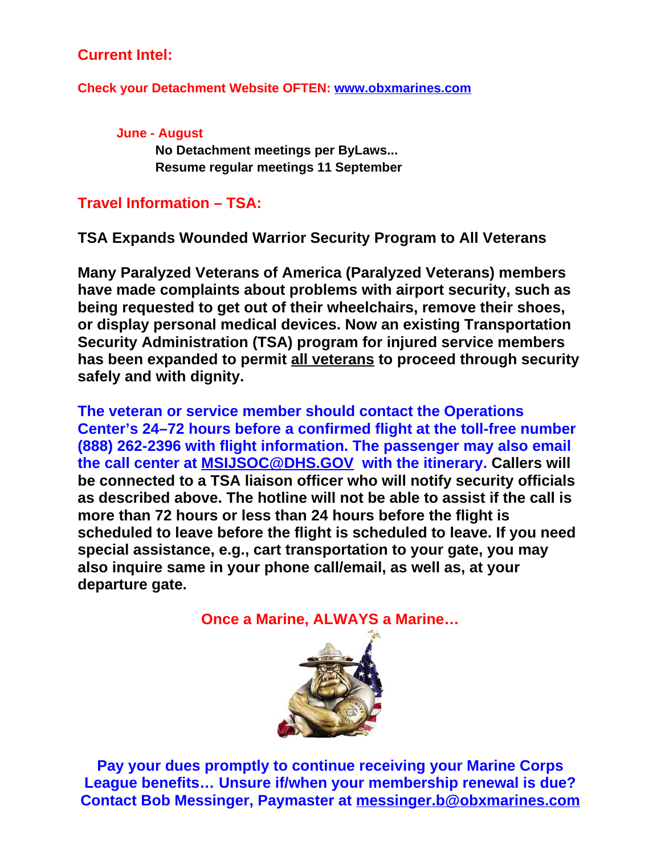# **Current Intel:**

**Check your Detachment Website OFTEN: www.obxmarines.com**

**June - August No Detachment meetings per ByLaws... Resume regular meetings 11 September**

## **Travel Information – TSA:**

**TSA Expands Wounded Warrior Security Program to All Veterans**

**Many Paralyzed Veterans of America (Paralyzed Veterans) members have made complaints about problems with airport security, such as being requested to get out of their wheelchairs, remove their shoes, or display personal medical devices. Now an existing Transportation Security Administration (TSA) program for injured service members has been expanded to permit all veterans to proceed through security safely and with dignity.**

**The veteran or service member should contact the Operations Center's 24–72 hours before a confirmed flight at the toll-free number (888) 262-2396 with flight information. The passenger may also email the call center at MSIJSOC@DHS.GOV with the itinerary. Callers will be connected to a TSA liaison officer who will notify security officials as described above. The hotline will not be able to assist if the call is more than 72 hours or less than 24 hours before the flight is scheduled to leave before the flight is scheduled to leave. If you need special assistance, e.g., cart transportation to your gate, you may also inquire same in your phone call/email, as well as, at your departure gate.**

**Once a Marine, ALWAYS a Marine…**



**Pay your dues promptly to continue receiving your Marine Corps League benefits… Unsure if/when your membership renewal is due? Contact Bob Messinger, Paymaster at messinger.b@obxmarines.com**